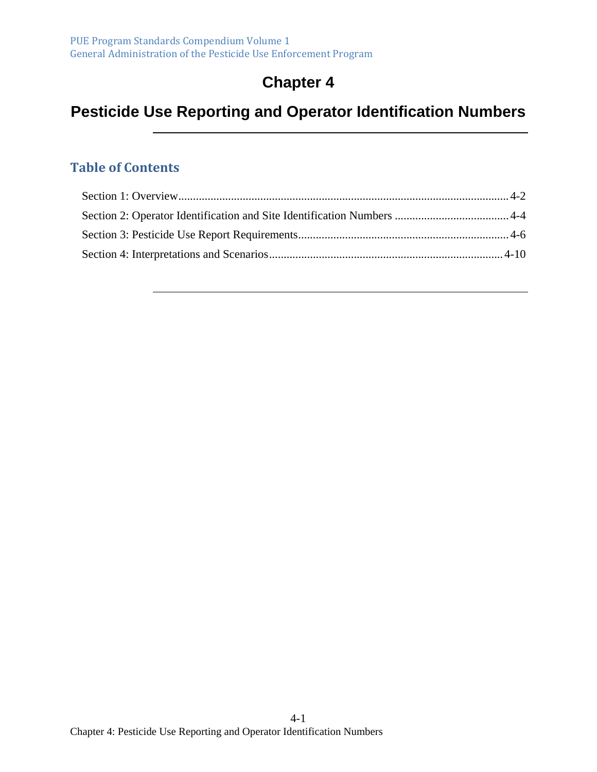# **Chapter 4**

# **Pesticide Use Reporting and Operator Identification Numbers**

#### **Table of Contents**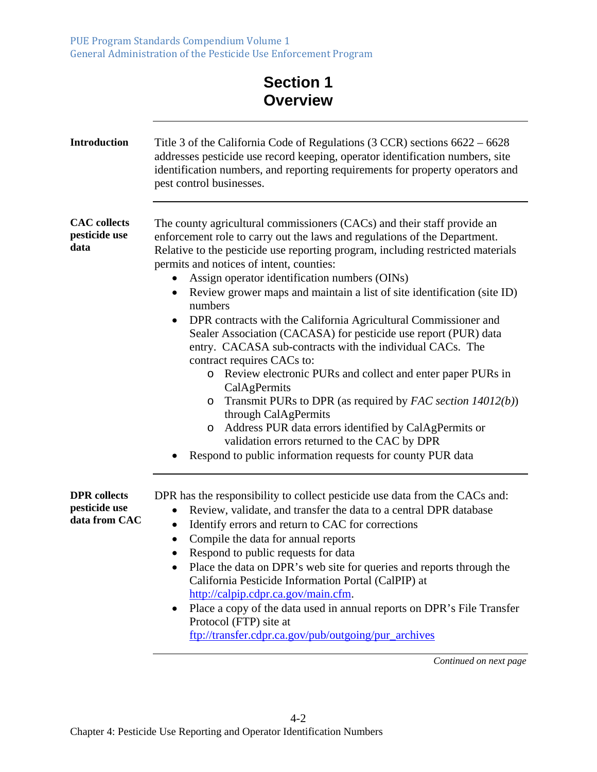PUE Program Standards Compendium Volume 1 General Administration of the Pesticide Use Enforcement Program

# **Section 1 Overview**

| <b>Introduction</b>                                   | Title 3 of the California Code of Regulations $(3 CCR)$ sections $6622 - 6628$<br>addresses pesticide use record keeping, operator identification numbers, site<br>identification numbers, and reporting requirements for property operators and<br>pest control businesses.                                                                                                                                                                                                                                                                                                                                                                                                                                                                                                                                                                                                                                                                                                                                                                           |
|-------------------------------------------------------|--------------------------------------------------------------------------------------------------------------------------------------------------------------------------------------------------------------------------------------------------------------------------------------------------------------------------------------------------------------------------------------------------------------------------------------------------------------------------------------------------------------------------------------------------------------------------------------------------------------------------------------------------------------------------------------------------------------------------------------------------------------------------------------------------------------------------------------------------------------------------------------------------------------------------------------------------------------------------------------------------------------------------------------------------------|
| <b>CAC</b> collects<br>pesticide use<br>data          | The county agricultural commissioners (CACs) and their staff provide an<br>enforcement role to carry out the laws and regulations of the Department.<br>Relative to the pesticide use reporting program, including restricted materials<br>permits and notices of intent, counties:<br>Assign operator identification numbers (OINs)<br>Review grower maps and maintain a list of site identification (site ID)<br>$\bullet$<br>numbers<br>DPR contracts with the California Agricultural Commissioner and<br>٠<br>Sealer Association (CACASA) for pesticide use report (PUR) data<br>entry. CACASA sub-contracts with the individual CACs. The<br>contract requires CACs to:<br>Review electronic PURs and collect and enter paper PURs in<br>$\circ$<br>CalAgPermits<br>Transmit PURs to DPR (as required by FAC section $14012(b)$ )<br>O<br>through CalAgPermits<br>Address PUR data errors identified by CalAgPermits or<br>$\circ$<br>validation errors returned to the CAC by DPR<br>Respond to public information requests for county PUR data |
| <b>DPR</b> collects<br>pesticide use<br>data from CAC | DPR has the responsibility to collect pesticide use data from the CACs and:<br>Review, validate, and transfer the data to a central DPR database<br>$\bullet$<br>Identify errors and return to CAC for corrections<br>$\bullet$<br>Compile the data for annual reports<br>$\bullet$<br>Respond to public requests for data<br>Place the data on DPR's web site for queries and reports through the<br>California Pesticide Information Portal (CalPIP) at<br>http://calpip.cdpr.ca.gov/main.cfm.<br>Place a copy of the data used in annual reports on DPR's File Transfer<br>Protocol (FTP) site at<br>ftp://transfer.cdpr.ca.gov/pub/outgoing/pur_archives<br>Continued on next page                                                                                                                                                                                                                                                                                                                                                                 |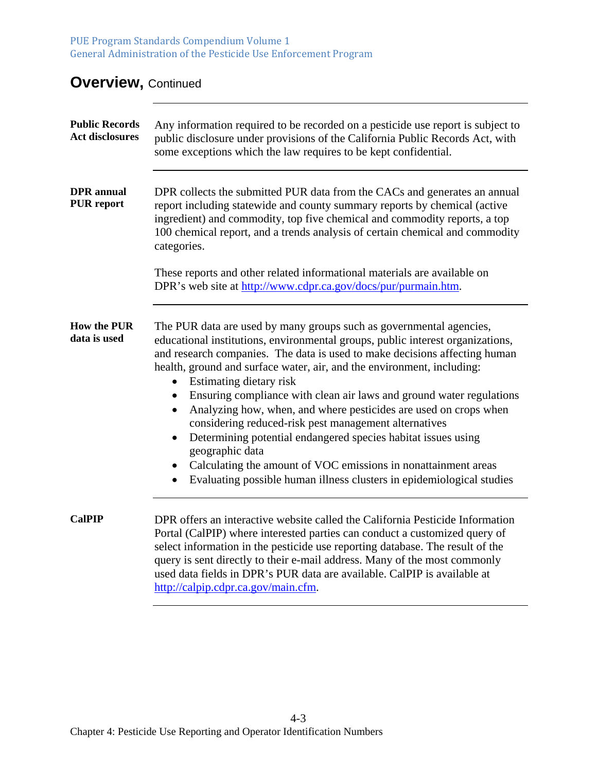PUE Program Standards Compendium Volume 1 General Administration of the Pesticide Use Enforcement Program

## **Overview, Continued**

| <b>Public Records</b><br><b>Act disclosures</b> | Any information required to be recorded on a pesticide use report is subject to<br>public disclosure under provisions of the California Public Records Act, with<br>some exceptions which the law requires to be kept confidential.                                                                                                                                                                                                                                                                                                                                                                                                                                                                                                                                                                                     |
|-------------------------------------------------|-------------------------------------------------------------------------------------------------------------------------------------------------------------------------------------------------------------------------------------------------------------------------------------------------------------------------------------------------------------------------------------------------------------------------------------------------------------------------------------------------------------------------------------------------------------------------------------------------------------------------------------------------------------------------------------------------------------------------------------------------------------------------------------------------------------------------|
| <b>DPR</b> annual<br><b>PUR</b> report          | DPR collects the submitted PUR data from the CACs and generates an annual<br>report including statewide and county summary reports by chemical (active<br>ingredient) and commodity, top five chemical and commodity reports, a top<br>100 chemical report, and a trends analysis of certain chemical and commodity<br>categories.                                                                                                                                                                                                                                                                                                                                                                                                                                                                                      |
|                                                 | These reports and other related informational materials are available on<br>DPR's web site at http://www.cdpr.ca.gov/docs/pur/purmain.htm.                                                                                                                                                                                                                                                                                                                                                                                                                                                                                                                                                                                                                                                                              |
| <b>How the PUR</b><br>data is used              | The PUR data are used by many groups such as governmental agencies,<br>educational institutions, environmental groups, public interest organizations,<br>and research companies. The data is used to make decisions affecting human<br>health, ground and surface water, air, and the environment, including:<br>• Estimating dietary risk<br>• Ensuring compliance with clean air laws and ground water regulations<br>Analyzing how, when, and where pesticides are used on crops when<br>$\bullet$<br>considering reduced-risk pest management alternatives<br>Determining potential endangered species habitat issues using<br>$\bullet$<br>geographic data<br>Calculating the amount of VOC emissions in nonattainment areas<br>$\bullet$<br>Evaluating possible human illness clusters in epidemiological studies |
| <b>CalPIP</b>                                   | DPR offers an interactive website called the California Pesticide Information<br>Portal (CalPIP) where interested parties can conduct a customized query of<br>select information in the pesticide use reporting database. The result of the<br>query is sent directly to their e-mail address. Many of the most commonly<br>used data fields in DPR's PUR data are available. CalPIP is available at<br>http://calpip.cdpr.ca.gov/main.cfm.                                                                                                                                                                                                                                                                                                                                                                            |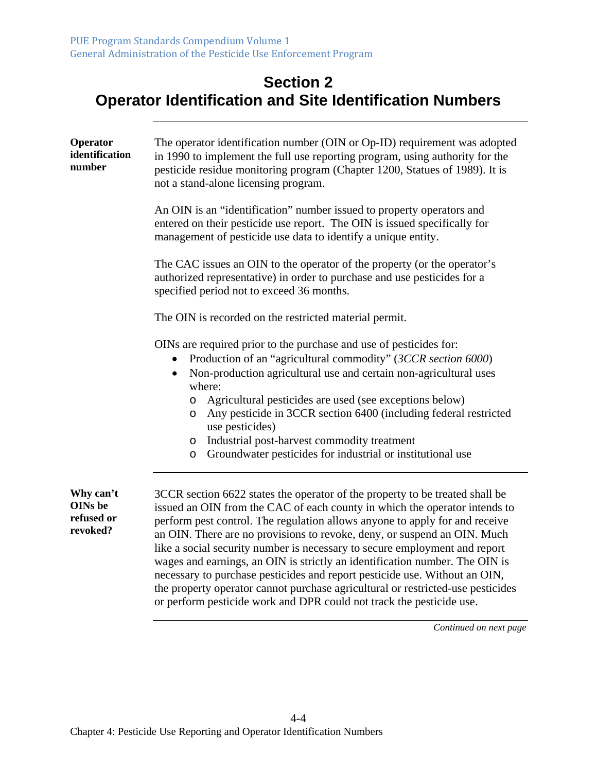#### **Section 2 Operator Identification and Site Identification Numbers**

| Operator<br>identification<br>number                  | The operator identification number (OIN or Op-ID) requirement was adopted<br>in 1990 to implement the full use reporting program, using authority for the<br>pesticide residue monitoring program (Chapter 1200, Statues of 1989). It is<br>not a stand-alone licensing program.                                                                                                                                                                                                                                                                                                                                                                                                                                            |
|-------------------------------------------------------|-----------------------------------------------------------------------------------------------------------------------------------------------------------------------------------------------------------------------------------------------------------------------------------------------------------------------------------------------------------------------------------------------------------------------------------------------------------------------------------------------------------------------------------------------------------------------------------------------------------------------------------------------------------------------------------------------------------------------------|
|                                                       | An OIN is an "identification" number issued to property operators and<br>entered on their pesticide use report. The OIN is issued specifically for<br>management of pesticide use data to identify a unique entity.                                                                                                                                                                                                                                                                                                                                                                                                                                                                                                         |
|                                                       | The CAC issues an OIN to the operator of the property (or the operator's<br>authorized representative) in order to purchase and use pesticides for a<br>specified period not to exceed 36 months.                                                                                                                                                                                                                                                                                                                                                                                                                                                                                                                           |
|                                                       | The OIN is recorded on the restricted material permit.                                                                                                                                                                                                                                                                                                                                                                                                                                                                                                                                                                                                                                                                      |
|                                                       | OINs are required prior to the purchase and use of pesticides for:<br>Production of an "agricultural commodity" (3CCR section 6000)<br>Non-production agricultural use and certain non-agricultural uses<br>where:<br>Agricultural pesticides are used (see exceptions below)<br>O<br>Any pesticide in 3CCR section 6400 (including federal restricted<br>O<br>use pesticides)<br>Industrial post-harvest commodity treatment<br>O<br>Groundwater pesticides for industrial or institutional use<br>O                                                                                                                                                                                                                       |
| Why can't<br><b>OINs</b> be<br>refused or<br>revoked? | 3CCR section 6622 states the operator of the property to be treated shall be<br>issued an OIN from the CAC of each county in which the operator intends to<br>perform pest control. The regulation allows anyone to apply for and receive<br>an OIN. There are no provisions to revoke, deny, or suspend an OIN. Much<br>like a social security number is necessary to secure employment and report<br>wages and earnings, an OIN is strictly an identification number. The OIN is<br>necessary to purchase pesticides and report pesticide use. Without an OIN,<br>the property operator cannot purchase agricultural or restricted-use pesticides<br>or perform pesticide work and DPR could not track the pesticide use. |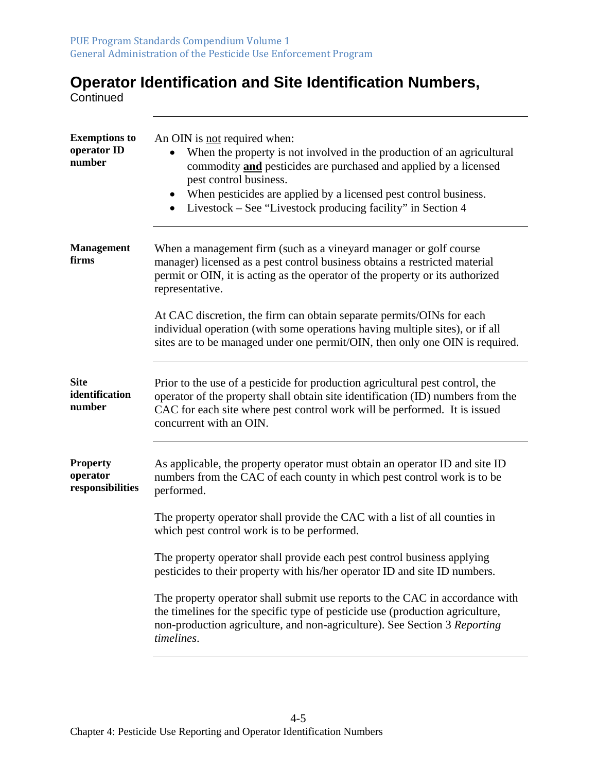# **Operator Identification and Site Identification Numbers,**

**Continued** 

| <b>Exemptions to</b><br>operator ID<br>number   | An OIN is not required when:<br>When the property is not involved in the production of an agricultural<br>commodity <b>and</b> pesticides are purchased and applied by a licensed<br>pest control business.<br>When pesticides are applied by a licensed pest control business.<br>$\bullet$<br>Livestock – See "Livestock producing facility" in Section 4 |
|-------------------------------------------------|-------------------------------------------------------------------------------------------------------------------------------------------------------------------------------------------------------------------------------------------------------------------------------------------------------------------------------------------------------------|
| <b>Management</b><br>firms                      | When a management firm (such as a vineyard manager or golf course<br>manager) licensed as a pest control business obtains a restricted material<br>permit or OIN, it is acting as the operator of the property or its authorized<br>representative.                                                                                                         |
|                                                 | At CAC discretion, the firm can obtain separate permits/OINs for each<br>individual operation (with some operations having multiple sites), or if all<br>sites are to be managed under one permit/OIN, then only one OIN is required.                                                                                                                       |
| <b>Site</b><br>identification<br>number         | Prior to the use of a pesticide for production agricultural pest control, the<br>operator of the property shall obtain site identification (ID) numbers from the<br>CAC for each site where pest control work will be performed. It is issued<br>concurrent with an OIN.                                                                                    |
| <b>Property</b><br>operator<br>responsibilities | As applicable, the property operator must obtain an operator ID and site ID<br>numbers from the CAC of each county in which pest control work is to be<br>performed.                                                                                                                                                                                        |
|                                                 | The property operator shall provide the CAC with a list of all counties in<br>which pest control work is to be performed.                                                                                                                                                                                                                                   |
|                                                 | The property operator shall provide each pest control business applying<br>pesticides to their property with his/her operator ID and site ID numbers.                                                                                                                                                                                                       |
|                                                 | The property operator shall submit use reports to the CAC in accordance with<br>the timelines for the specific type of pesticide use (production agriculture,<br>non-production agriculture, and non-agriculture). See Section 3 Reporting<br>timelines.                                                                                                    |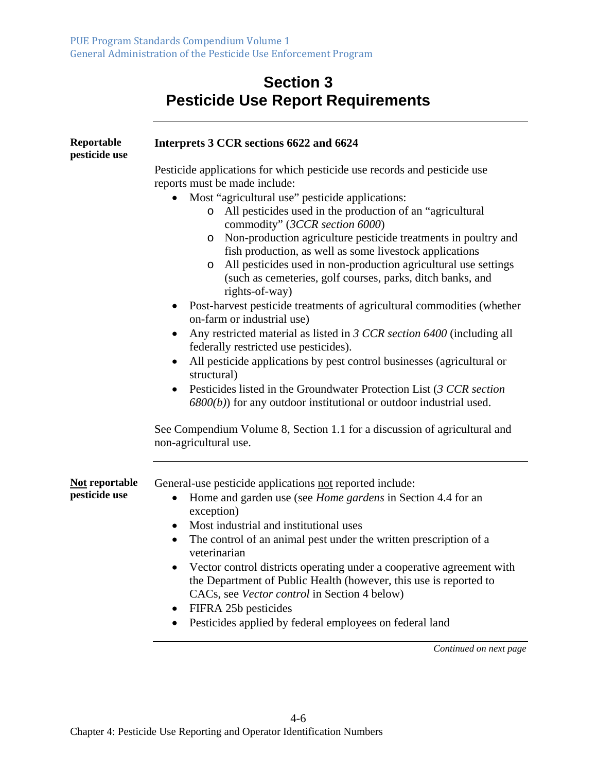## **Section 3 Pesticide Use Report Requirements**

| Reportable<br>pesticide use | Interprets 3 CCR sections 6622 and 6624                                                                                                                                                                                                                                                                                                                                                                                                                                                                                                                                                                                                                                                                                                                                                                                                                                                                                              |
|-----------------------------|--------------------------------------------------------------------------------------------------------------------------------------------------------------------------------------------------------------------------------------------------------------------------------------------------------------------------------------------------------------------------------------------------------------------------------------------------------------------------------------------------------------------------------------------------------------------------------------------------------------------------------------------------------------------------------------------------------------------------------------------------------------------------------------------------------------------------------------------------------------------------------------------------------------------------------------|
|                             | Pesticide applications for which pesticide use records and pesticide use<br>reports must be made include:                                                                                                                                                                                                                                                                                                                                                                                                                                                                                                                                                                                                                                                                                                                                                                                                                            |
|                             | Most "agricultural use" pesticide applications:<br>All pesticides used in the production of an "agricultural"<br>$\circ$<br>commodity" (3CCR section 6000)<br>Non-production agriculture pesticide treatments in poultry and<br>$\circ$<br>fish production, as well as some livestock applications<br>All pesticides used in non-production agricultural use settings<br>$\circ$<br>(such as cemeteries, golf courses, parks, ditch banks, and<br>rights-of-way)<br>Post-harvest pesticide treatments of agricultural commodities (whether<br>on-farm or industrial use)<br>Any restricted material as listed in 3 CCR section 6400 (including all<br>federally restricted use pesticides).<br>All pesticide applications by pest control businesses (agricultural or<br>structural)<br>Pesticides listed in the Groundwater Protection List (3 CCR section<br>$6800(b)$ ) for any outdoor institutional or outdoor industrial used. |
|                             | See Compendium Volume 8, Section 1.1 for a discussion of agricultural and<br>non-agricultural use.                                                                                                                                                                                                                                                                                                                                                                                                                                                                                                                                                                                                                                                                                                                                                                                                                                   |
| Not reportable              | General-use pesticide applications not reported include:                                                                                                                                                                                                                                                                                                                                                                                                                                                                                                                                                                                                                                                                                                                                                                                                                                                                             |
| pesticide use               | Home and garden use (see <i>Home gardens</i> in Section 4.4 for an<br>$\bullet$<br>exception)                                                                                                                                                                                                                                                                                                                                                                                                                                                                                                                                                                                                                                                                                                                                                                                                                                        |
|                             | Most industrial and institutional uses<br>The control of an animal pest under the written prescription of a<br>$\bullet$<br>veterinarian                                                                                                                                                                                                                                                                                                                                                                                                                                                                                                                                                                                                                                                                                                                                                                                             |
|                             | Vector control districts operating under a cooperative agreement with<br>the Department of Public Health (however, this use is reported to<br>CACs, see Vector control in Section 4 below)<br>FIFRA 25b pesticides                                                                                                                                                                                                                                                                                                                                                                                                                                                                                                                                                                                                                                                                                                                   |
|                             | Pesticides applied by federal employees on federal land                                                                                                                                                                                                                                                                                                                                                                                                                                                                                                                                                                                                                                                                                                                                                                                                                                                                              |
|                             | Continued on next page                                                                                                                                                                                                                                                                                                                                                                                                                                                                                                                                                                                                                                                                                                                                                                                                                                                                                                               |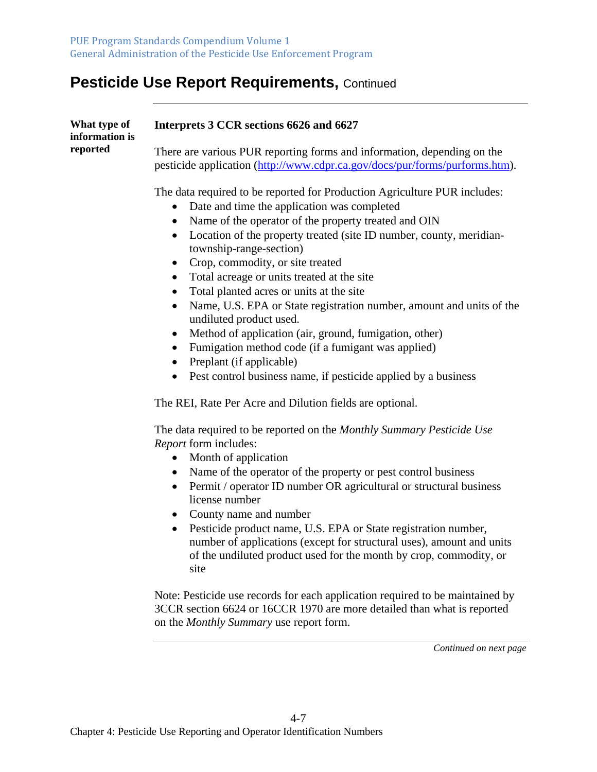#### **Pesticide Use Report Requirements,** Continued

| What type of<br>information is<br>reported | Interprets 3 CCR sections 6626 and 6627                                                                                                                |
|--------------------------------------------|--------------------------------------------------------------------------------------------------------------------------------------------------------|
|                                            | There are various PUR reporting forms and information, depending on the<br>pesticide application (http://www.cdpr.ca.gov/docs/pur/forms/purforms.htm). |
|                                            | The data required to be reported for Production Agriculture PUR includes:                                                                              |

- Date and time the application was completed
- Name of the operator of the property treated and OIN
- Location of the property treated (site ID number, county, meridiantownship-range-section)
- Crop, commodity, or site treated
- Total acreage or units treated at the site
- Total planted acres or units at the site
- Name, U.S. EPA or State registration number, amount and units of the undiluted product used.
- Method of application (air, ground, fumigation, other)
- Fumigation method code (if a fumigant was applied)
- $\bullet$  Preplant (if applicable)
- Pest control business name, if pesticide applied by a business

The REI, Rate Per Acre and Dilution fields are optional.

The data required to be reported on the *Monthly Summary Pesticide Use Report* form includes:

- Month of application
- Name of the operator of the property or pest control business
- Permit / operator ID number OR agricultural or structural business license number
- County name and number
- Pesticide product name, U.S. EPA or State registration number, number of applications (except for structural uses), amount and units of the undiluted product used for the month by crop, commodity, or site

Note: Pesticide use records for each application required to be maintained by 3CCR section 6624 or 16CCR 1970 are more detailed than what is reported on the *Monthly Summary* use report form.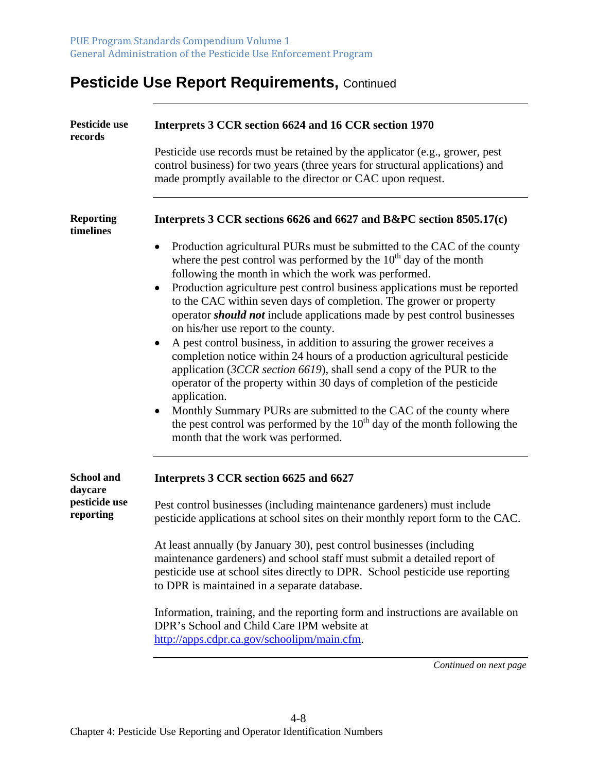## **Pesticide Use Report Requirements, Continued**

| Pesticide use<br>records      | Interprets 3 CCR section 6624 and 16 CCR section 1970                                                                                                                                                                                                                                                                                                                                                                                                                                                                                                                                                                                                                                                                                                                                                                                                                                                                                                                                                                                          |
|-------------------------------|------------------------------------------------------------------------------------------------------------------------------------------------------------------------------------------------------------------------------------------------------------------------------------------------------------------------------------------------------------------------------------------------------------------------------------------------------------------------------------------------------------------------------------------------------------------------------------------------------------------------------------------------------------------------------------------------------------------------------------------------------------------------------------------------------------------------------------------------------------------------------------------------------------------------------------------------------------------------------------------------------------------------------------------------|
|                               | Pesticide use records must be retained by the applicator (e.g., grower, pest<br>control business) for two years (three years for structural applications) and<br>made promptly available to the director or CAC upon request.                                                                                                                                                                                                                                                                                                                                                                                                                                                                                                                                                                                                                                                                                                                                                                                                                  |
| <b>Reporting</b><br>timelines | Interprets 3 CCR sections 6626 and 6627 and B&PC section 8505.17(c)                                                                                                                                                                                                                                                                                                                                                                                                                                                                                                                                                                                                                                                                                                                                                                                                                                                                                                                                                                            |
|                               | Production agricultural PURs must be submitted to the CAC of the county<br>$\bullet$<br>where the pest control was performed by the $10th$ day of the month<br>following the month in which the work was performed.<br>Production agriculture pest control business applications must be reported<br>$\bullet$<br>to the CAC within seven days of completion. The grower or property<br>operator <i>should not</i> include applications made by pest control businesses<br>on his/her use report to the county.<br>A pest control business, in addition to assuring the grower receives a<br>$\bullet$<br>completion notice within 24 hours of a production agricultural pesticide<br>application (3CCR section 6619), shall send a copy of the PUR to the<br>operator of the property within 30 days of completion of the pesticide<br>application.<br>Monthly Summary PURs are submitted to the CAC of the county where<br>the pest control was performed by the $10th$ day of the month following the<br>month that the work was performed. |
| <b>School and</b><br>daycare  | Interprets 3 CCR section 6625 and 6627                                                                                                                                                                                                                                                                                                                                                                                                                                                                                                                                                                                                                                                                                                                                                                                                                                                                                                                                                                                                         |
| pesticide use<br>reporting    | Pest control businesses (including maintenance gardeners) must include<br>pesticide applications at school sites on their monthly report form to the CAC.                                                                                                                                                                                                                                                                                                                                                                                                                                                                                                                                                                                                                                                                                                                                                                                                                                                                                      |
|                               | At least annually (by January 30), pest control businesses (including<br>maintenance gardeners) and school staff must submit a detailed report of<br>pesticide use at school sites directly to DPR. School pesticide use reporting<br>to DPR is maintained in a separate database.                                                                                                                                                                                                                                                                                                                                                                                                                                                                                                                                                                                                                                                                                                                                                             |
|                               | Information, training, and the reporting form and instructions are available on<br>DPR's School and Child Care IPM website at<br>http://apps.cdpr.ca.gov/schoolipm/main.cfm.                                                                                                                                                                                                                                                                                                                                                                                                                                                                                                                                                                                                                                                                                                                                                                                                                                                                   |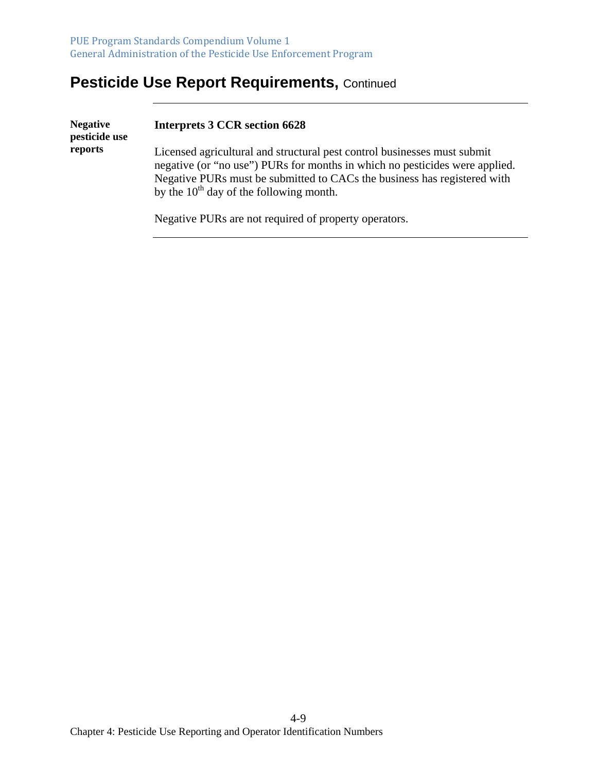## **Pesticide Use Report Requirements, Continued**

| <b>Negative</b><br>pesticide use | <b>Interprets 3 CCR section 6628</b>                                                                                                                                                                                                                                                |
|----------------------------------|-------------------------------------------------------------------------------------------------------------------------------------------------------------------------------------------------------------------------------------------------------------------------------------|
| reports                          | Licensed agricultural and structural pest control businesses must submit<br>negative (or "no use") PURs for months in which no pesticides were applied.<br>Negative PURs must be submitted to CACs the business has registered with<br>by the $10^{th}$ day of the following month. |
|                                  | Negative PURs are not required of property operators.                                                                                                                                                                                                                               |

4-9 Chapter 4: Pesticide Use Reporting and Operator Identification Numbers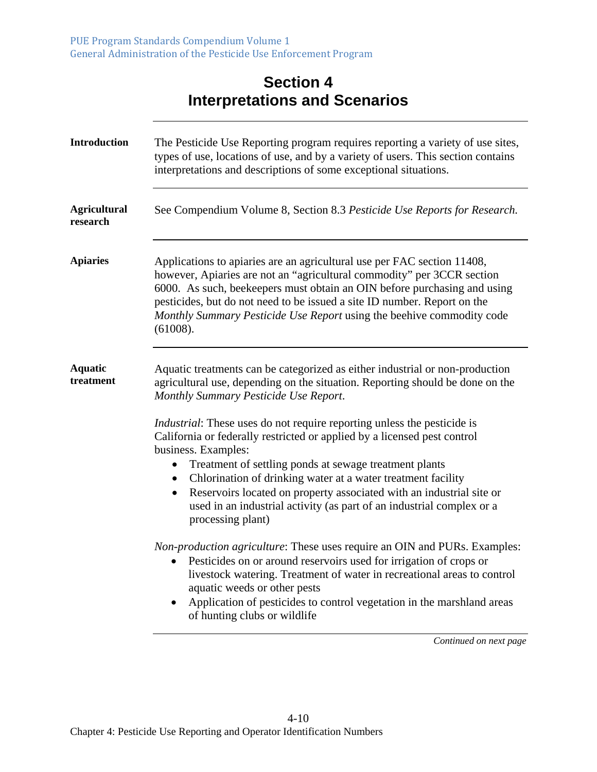#### **Section 4 Interpretations and Scenarios**

| <b>Introduction</b>             | The Pesticide Use Reporting program requires reporting a variety of use sites,<br>types of use, locations of use, and by a variety of users. This section contains<br>interpretations and descriptions of some exceptional situations.                                                                                                                                                                                                                                                                                                                                                                                                                                                                                                                                                                                                                                                                                                                                               |
|---------------------------------|--------------------------------------------------------------------------------------------------------------------------------------------------------------------------------------------------------------------------------------------------------------------------------------------------------------------------------------------------------------------------------------------------------------------------------------------------------------------------------------------------------------------------------------------------------------------------------------------------------------------------------------------------------------------------------------------------------------------------------------------------------------------------------------------------------------------------------------------------------------------------------------------------------------------------------------------------------------------------------------|
| <b>Agricultural</b><br>research | See Compendium Volume 8, Section 8.3 Pesticide Use Reports for Research.                                                                                                                                                                                                                                                                                                                                                                                                                                                                                                                                                                                                                                                                                                                                                                                                                                                                                                             |
| <b>Apiaries</b>                 | Applications to apiaries are an agricultural use per FAC section 11408,<br>however, Apiaries are not an "agricultural commodity" per 3CCR section<br>6000. As such, beekeepers must obtain an OIN before purchasing and using<br>pesticides, but do not need to be issued a site ID number. Report on the<br>Monthly Summary Pesticide Use Report using the beehive commodity code<br>(61008).                                                                                                                                                                                                                                                                                                                                                                                                                                                                                                                                                                                       |
| <b>Aquatic</b><br>treatment     | Aquatic treatments can be categorized as either industrial or non-production<br>agricultural use, depending on the situation. Reporting should be done on the<br>Monthly Summary Pesticide Use Report.<br><i>Industrial:</i> These uses do not require reporting unless the pesticide is<br>California or federally restricted or applied by a licensed pest control<br>business. Examples:<br>Treatment of settling ponds at sewage treatment plants<br>Chlorination of drinking water at a water treatment facility<br>٠<br>Reservoirs located on property associated with an industrial site or<br>$\bullet$<br>used in an industrial activity (as part of an industrial complex or a<br>processing plant)<br><i>Non-production agriculture:</i> These uses require an OIN and PURs. Examples:<br>• Pesticides on or around reservoirs used for irrigation of crops or<br>livestock watering. Treatment of water in recreational areas to control<br>aquatic weeds or other pests |
|                                 | Application of pesticides to control vegetation in the marshland areas<br>$\bullet$<br>of hunting clubs or wildlife                                                                                                                                                                                                                                                                                                                                                                                                                                                                                                                                                                                                                                                                                                                                                                                                                                                                  |
|                                 | Continued on next page                                                                                                                                                                                                                                                                                                                                                                                                                                                                                                                                                                                                                                                                                                                                                                                                                                                                                                                                                               |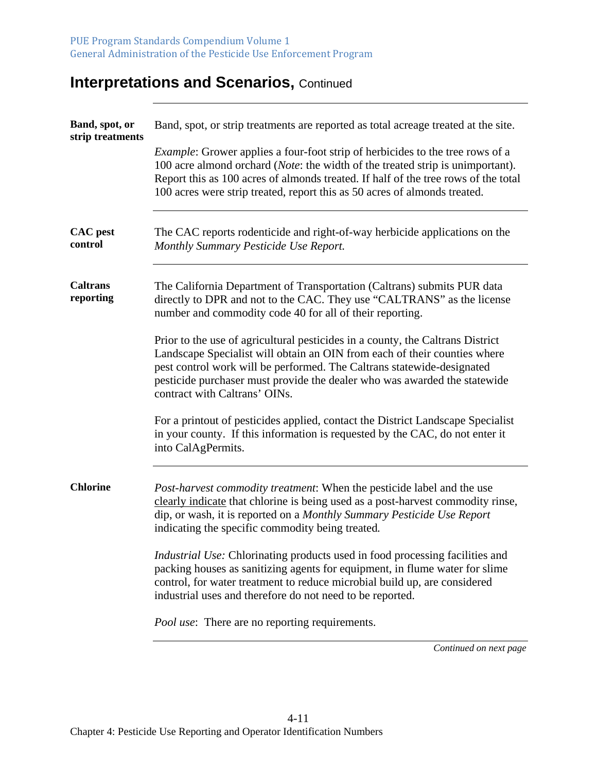| Band, spot, or<br>strip treatments | Band, spot, or strip treatments are reported as total acreage treated at the site.                                                                                                                                                                                                                                                                  |
|------------------------------------|-----------------------------------------------------------------------------------------------------------------------------------------------------------------------------------------------------------------------------------------------------------------------------------------------------------------------------------------------------|
|                                    | <i>Example:</i> Grower applies a four-foot strip of herbicides to the tree rows of a<br>100 acre almond orchard ( <i>Note</i> : the width of the treated strip is unimportant).<br>Report this as 100 acres of almonds treated. If half of the tree rows of the total<br>100 acres were strip treated, report this as 50 acres of almonds treated.  |
| <b>CAC</b> pest<br>control         | The CAC reports rodenticide and right-of-way herbicide applications on the<br>Monthly Summary Pesticide Use Report.                                                                                                                                                                                                                                 |
| <b>Caltrans</b><br>reporting       | The California Department of Transportation (Caltrans) submits PUR data<br>directly to DPR and not to the CAC. They use "CALTRANS" as the license<br>number and commodity code 40 for all of their reporting.                                                                                                                                       |
|                                    | Prior to the use of agricultural pesticides in a county, the Caltrans District<br>Landscape Specialist will obtain an OIN from each of their counties where<br>pest control work will be performed. The Caltrans statewide-designated<br>pesticide purchaser must provide the dealer who was awarded the statewide<br>contract with Caltrans' OINs. |
|                                    | For a printout of pesticides applied, contact the District Landscape Specialist<br>in your county. If this information is requested by the CAC, do not enter it<br>into CalAgPermits.                                                                                                                                                               |
| <b>Chlorine</b>                    | <i>Post-harvest commodity treatment:</i> When the pesticide label and the use<br>clearly indicate that chlorine is being used as a post-harvest commodity rinse,<br>dip, or wash, it is reported on a Monthly Summary Pesticide Use Report<br>indicating the specific commodity being treated.                                                      |
|                                    | Industrial Use: Chlorinating products used in food processing facilities and<br>packing houses as sanitizing agents for equipment, in flume water for slime<br>control, for water treatment to reduce microbial build up, are considered<br>industrial uses and therefore do not need to be reported.                                               |
|                                    | <i>Pool use:</i> There are no reporting requirements.                                                                                                                                                                                                                                                                                               |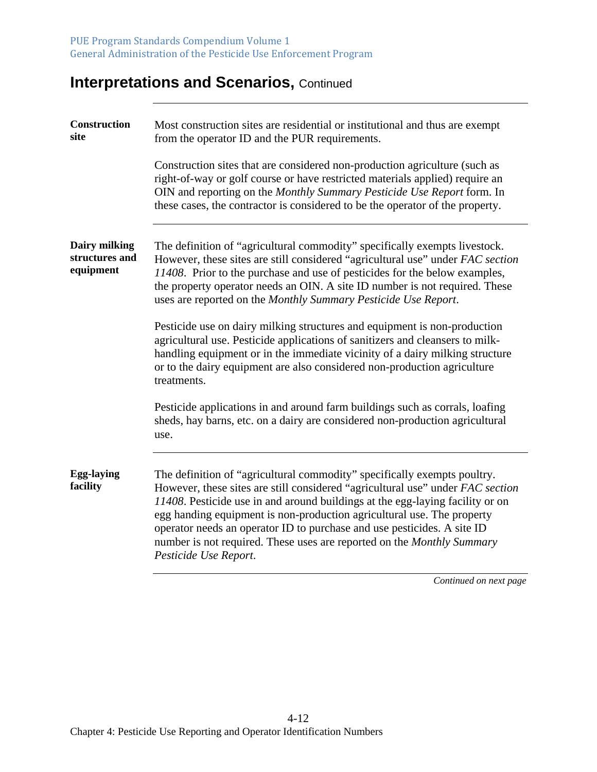| Construction<br>site                         | Most construction sites are residential or institutional and thus are exempt<br>from the operator ID and the PUR requirements.                                                                                                                                                                                                                                                                                                                                                                      |
|----------------------------------------------|-----------------------------------------------------------------------------------------------------------------------------------------------------------------------------------------------------------------------------------------------------------------------------------------------------------------------------------------------------------------------------------------------------------------------------------------------------------------------------------------------------|
|                                              | Construction sites that are considered non-production agriculture (such as<br>right-of-way or golf course or have restricted materials applied) require an<br>OIN and reporting on the Monthly Summary Pesticide Use Report form. In<br>these cases, the contractor is considered to be the operator of the property.                                                                                                                                                                               |
| Dairy milking<br>structures and<br>equipment | The definition of "agricultural commodity" specifically exempts livestock.<br>However, these sites are still considered "agricultural use" under FAC section<br>11408. Prior to the purchase and use of pesticides for the below examples,<br>the property operator needs an OIN. A site ID number is not required. These<br>uses are reported on the Monthly Summary Pesticide Use Report.                                                                                                         |
|                                              | Pesticide use on dairy milking structures and equipment is non-production<br>agricultural use. Pesticide applications of sanitizers and cleansers to milk-<br>handling equipment or in the immediate vicinity of a dairy milking structure<br>or to the dairy equipment are also considered non-production agriculture<br>treatments.                                                                                                                                                               |
|                                              | Pesticide applications in and around farm buildings such as corrals, loafing<br>sheds, hay barns, etc. on a dairy are considered non-production agricultural<br>use.                                                                                                                                                                                                                                                                                                                                |
| <b>Egg-laying</b><br>facility                | The definition of "agricultural commodity" specifically exempts poultry.<br>However, these sites are still considered "agricultural use" under FAC section<br>11408. Pesticide use in and around buildings at the egg-laying facility or on<br>egg handing equipment is non-production agricultural use. The property<br>operator needs an operator ID to purchase and use pesticides. A site ID<br>number is not required. These uses are reported on the Monthly Summary<br>Pesticide Use Report. |
|                                              |                                                                                                                                                                                                                                                                                                                                                                                                                                                                                                     |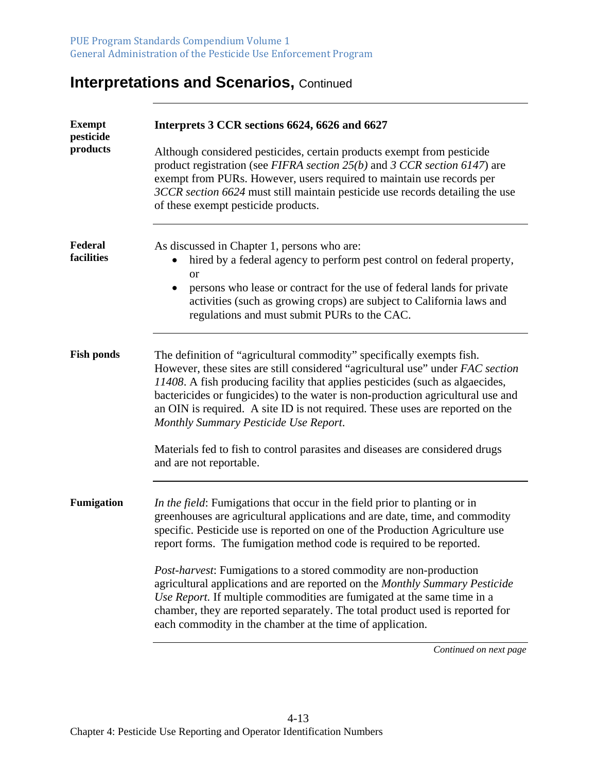| <b>Exempt</b><br>pesticide | Interprets 3 CCR sections 6624, 6626 and 6627                                                                                                                                                                                                                                                                                                                                                                                                         |
|----------------------------|-------------------------------------------------------------------------------------------------------------------------------------------------------------------------------------------------------------------------------------------------------------------------------------------------------------------------------------------------------------------------------------------------------------------------------------------------------|
| products                   | Although considered pesticides, certain products exempt from pesticide<br>product registration (see FIFRA section $25(b)$ and 3 CCR section 6147) are<br>exempt from PURs. However, users required to maintain use records per<br>3CCR section 6624 must still maintain pesticide use records detailing the use<br>of these exempt pesticide products.                                                                                                |
| Federal<br>facilities      | As discussed in Chapter 1, persons who are:<br>hired by a federal agency to perform pest control on federal property,<br><b>or</b><br>persons who lease or contract for the use of federal lands for private                                                                                                                                                                                                                                          |
|                            | activities (such as growing crops) are subject to California laws and<br>regulations and must submit PURs to the CAC.                                                                                                                                                                                                                                                                                                                                 |
| <b>Fish ponds</b>          | The definition of "agricultural commodity" specifically exempts fish.<br>However, these sites are still considered "agricultural use" under FAC section<br>11408. A fish producing facility that applies pesticides (such as algaecides,<br>bactericides or fungicides) to the water is non-production agricultural use and<br>an OIN is required. A site ID is not required. These uses are reported on the<br>Monthly Summary Pesticide Use Report. |
|                            | Materials fed to fish to control parasites and diseases are considered drugs<br>and are not reportable.                                                                                                                                                                                                                                                                                                                                               |
| <b>Fumigation</b>          | In the field: Fumigations that occur in the field prior to planting or in<br>greenhouses are agricultural applications and are date, time, and commodity<br>specific. Pesticide use is reported on one of the Production Agriculture use<br>report forms. The fumigation method code is required to be reported.                                                                                                                                      |
|                            | <i>Post-harvest</i> : Fumigations to a stored commodity are non-production<br>agricultural applications and are reported on the Monthly Summary Pesticide<br>Use Report. If multiple commodities are fumigated at the same time in a<br>chamber, they are reported separately. The total product used is reported for<br>each commodity in the chamber at the time of application.                                                                    |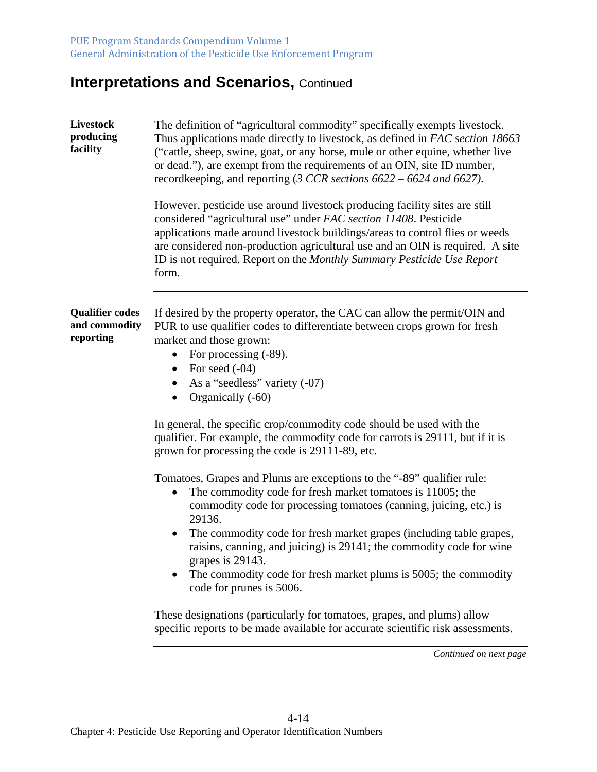| Livestock<br>producing<br>facility                   | The definition of "agricultural commodity" specifically exempts livestock.<br>Thus applications made directly to livestock, as defined in FAC section 18663<br>("cattle, sheep, swine, goat, or any horse, mule or other equine, whether live<br>or dead."), are exempt from the requirements of an OIN, site ID number,<br>record keeping, and reporting $(3 \text{ CCR}$ sections $6622 - 6624$ and $6627$ ).                                                                                                |
|------------------------------------------------------|----------------------------------------------------------------------------------------------------------------------------------------------------------------------------------------------------------------------------------------------------------------------------------------------------------------------------------------------------------------------------------------------------------------------------------------------------------------------------------------------------------------|
|                                                      | However, pesticide use around livestock producing facility sites are still<br>considered "agricultural use" under FAC section 11408. Pesticide<br>applications made around livestock buildings/areas to control flies or weeds<br>are considered non-production agricultural use and an OIN is required. A site<br>ID is not required. Report on the Monthly Summary Pesticide Use Report<br>form.                                                                                                             |
| <b>Qualifier codes</b><br>and commodity<br>reporting | If desired by the property operator, the CAC can allow the permit/OIN and<br>PUR to use qualifier codes to differentiate between crops grown for fresh<br>market and those grown:<br>For processing (-89).<br>For seed (-04)<br>$\bullet$<br>As a "seedless" variety (-07)<br>Organically (-60)                                                                                                                                                                                                                |
|                                                      | In general, the specific crop/commodity code should be used with the<br>qualifier. For example, the commodity code for carrots is 29111, but if it is<br>grown for processing the code is 29111-89, etc.                                                                                                                                                                                                                                                                                                       |
|                                                      | Tomatoes, Grapes and Plums are exceptions to the "-89" qualifier rule:<br>The commodity code for fresh market tomatoes is 11005; the<br>$\bullet$<br>commodity code for processing tomatoes (canning, juicing, etc.) is<br>29136.<br>The commodity code for fresh market grapes (including table grapes,<br>٠<br>raisins, canning, and juicing) is 29141; the commodity code for wine<br>grapes is 29143.<br>The commodity code for fresh market plums is 5005; the commodity<br>٠<br>code for prunes is 5006. |
|                                                      | These designations (particularly for tomatoes, grapes, and plums) allow<br>specific reports to be made available for accurate scientific risk assessments.                                                                                                                                                                                                                                                                                                                                                     |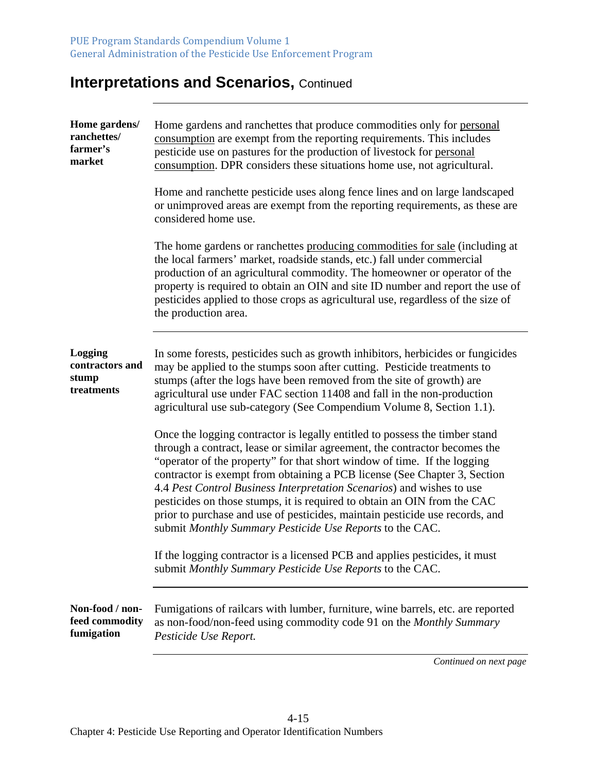| Home gardens/<br>ranchettes/<br>farmer's<br>market | Home gardens and ranchettes that produce commodities only for personal<br>consumption are exempt from the reporting requirements. This includes<br>pesticide use on pastures for the production of livestock for personal<br>consumption. DPR considers these situations home use, not agricultural.<br>Home and ranchette pesticide uses along fence lines and on large landscaped                                                                                                                                                                                                                                 |
|----------------------------------------------------|---------------------------------------------------------------------------------------------------------------------------------------------------------------------------------------------------------------------------------------------------------------------------------------------------------------------------------------------------------------------------------------------------------------------------------------------------------------------------------------------------------------------------------------------------------------------------------------------------------------------|
|                                                    | or unimproved areas are exempt from the reporting requirements, as these are<br>considered home use.                                                                                                                                                                                                                                                                                                                                                                                                                                                                                                                |
|                                                    | The home gardens or ranchettes producing commodities for sale (including at<br>the local farmers' market, roadside stands, etc.) fall under commercial<br>production of an agricultural commodity. The homeowner or operator of the<br>property is required to obtain an OIN and site ID number and report the use of<br>pesticides applied to those crops as agricultural use, regardless of the size of<br>the production area.                                                                                                                                                                                   |
| Logging<br>contractors and<br>stump<br>treatments  | In some forests, pesticides such as growth inhibitors, herbicides or fungicides<br>may be applied to the stumps soon after cutting. Pesticide treatments to<br>stumps (after the logs have been removed from the site of growth) are<br>agricultural use under FAC section 11408 and fall in the non-production<br>agricultural use sub-category (See Compendium Volume 8, Section 1.1).                                                                                                                                                                                                                            |
|                                                    | Once the logging contractor is legally entitled to possess the timber stand<br>through a contract, lease or similar agreement, the contractor becomes the<br>"operator of the property" for that short window of time. If the logging<br>contractor is exempt from obtaining a PCB license (See Chapter 3, Section<br>4.4 Pest Control Business Interpretation Scenarios) and wishes to use<br>pesticides on those stumps, it is required to obtain an OIN from the CAC<br>prior to purchase and use of pesticides, maintain pesticide use records, and<br>submit Monthly Summary Pesticide Use Reports to the CAC. |
|                                                    | If the logging contractor is a licensed PCB and applies pesticides, it must<br>submit Monthly Summary Pesticide Use Reports to the CAC.                                                                                                                                                                                                                                                                                                                                                                                                                                                                             |
| Non-food / non-<br>feed commodity<br>fumigation    | Fumigations of railcars with lumber, furniture, wine barrels, etc. are reported<br>as non-food/non-feed using commodity code 91 on the <i>Monthly Summary</i><br>Pesticide Use Report.                                                                                                                                                                                                                                                                                                                                                                                                                              |
|                                                    | Continued on next page                                                                                                                                                                                                                                                                                                                                                                                                                                                                                                                                                                                              |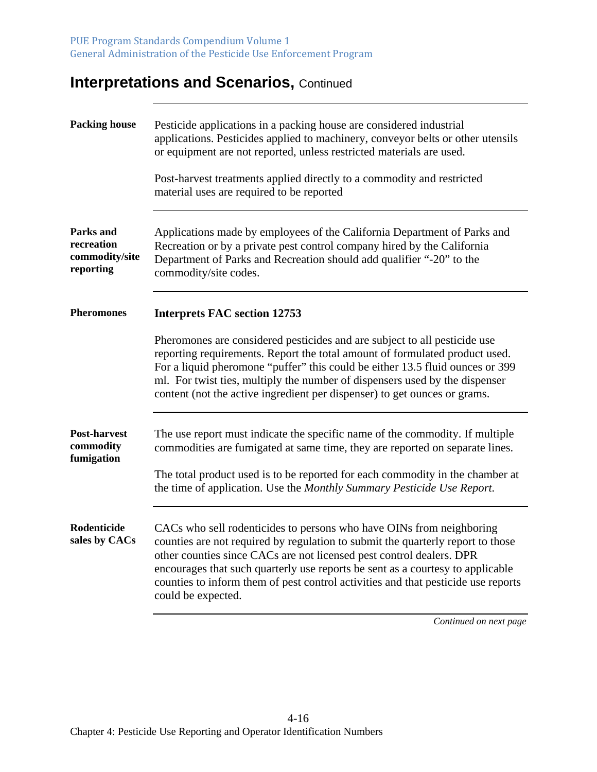| <b>Packing house</b>                                   | Pesticide applications in a packing house are considered industrial<br>applications. Pesticides applied to machinery, conveyor belts or other utensils<br>or equipment are not reported, unless restricted materials are used.<br>Post-harvest treatments applied directly to a commodity and restricted<br>material uses are required to be reported                                                                                        |
|--------------------------------------------------------|----------------------------------------------------------------------------------------------------------------------------------------------------------------------------------------------------------------------------------------------------------------------------------------------------------------------------------------------------------------------------------------------------------------------------------------------|
| Parks and<br>recreation<br>commodity/site<br>reporting | Applications made by employees of the California Department of Parks and<br>Recreation or by a private pest control company hired by the California<br>Department of Parks and Recreation should add qualifier "-20" to the<br>commodity/site codes.                                                                                                                                                                                         |
| <b>Pheromones</b>                                      | <b>Interprets FAC section 12753</b><br>Pheromones are considered pesticides and are subject to all pesticide use<br>reporting requirements. Report the total amount of formulated product used.<br>For a liquid pheromone "puffer" this could be either 13.5 fluid ounces or 399<br>ml. For twist ties, multiply the number of dispensers used by the dispenser<br>content (not the active ingredient per dispenser) to get ounces or grams. |
| <b>Post-harvest</b><br>commodity<br>fumigation         | The use report must indicate the specific name of the commodity. If multiple<br>commodities are fumigated at same time, they are reported on separate lines.<br>The total product used is to be reported for each commodity in the chamber at<br>the time of application. Use the Monthly Summary Pesticide Use Report.                                                                                                                      |
| Rodenticide<br>sales by CACs                           | CACs who sell rodenticides to persons who have OINs from neighboring<br>counties are not required by regulation to submit the quarterly report to those<br>other counties since CACs are not licensed pest control dealers. DPR<br>encourages that such quarterly use reports be sent as a courtesy to applicable<br>counties to inform them of pest control activities and that pesticide use reports<br>could be expected.                 |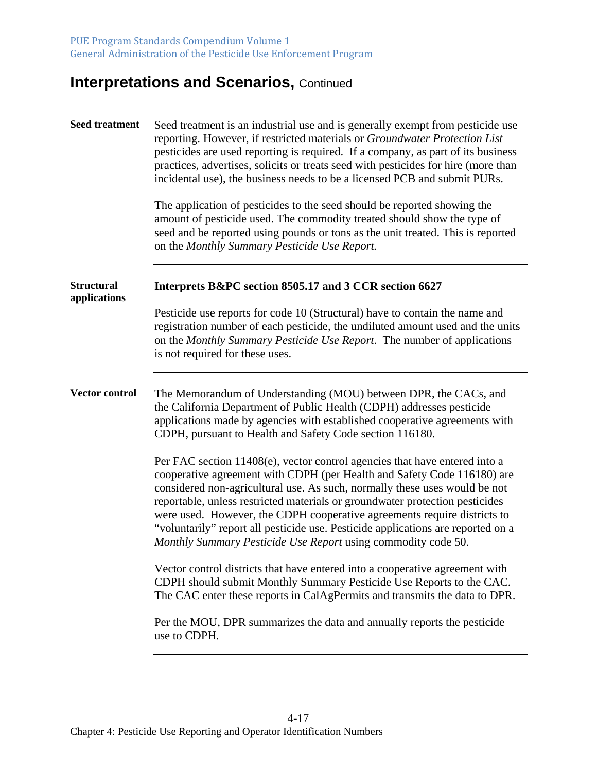| <b>Seed treatment</b>             | Seed treatment is an industrial use and is generally exempt from pesticide use<br>reporting. However, if restricted materials or Groundwater Protection List<br>pesticides are used reporting is required. If a company, as part of its business<br>practices, advertises, solicits or treats seed with pesticides for hire (more than<br>incidental use), the business needs to be a licensed PCB and submit PURs.<br>The application of pesticides to the seed should be reported showing the<br>amount of pesticide used. The commodity treated should show the type of<br>seed and be reported using pounds or tons as the unit treated. This is reported<br>on the Monthly Summary Pesticide Use Report. |
|-----------------------------------|---------------------------------------------------------------------------------------------------------------------------------------------------------------------------------------------------------------------------------------------------------------------------------------------------------------------------------------------------------------------------------------------------------------------------------------------------------------------------------------------------------------------------------------------------------------------------------------------------------------------------------------------------------------------------------------------------------------|
| <b>Structural</b><br>applications | Interprets B&PC section 8505.17 and 3 CCR section 6627                                                                                                                                                                                                                                                                                                                                                                                                                                                                                                                                                                                                                                                        |
|                                   | Pesticide use reports for code 10 (Structural) have to contain the name and<br>registration number of each pesticide, the undiluted amount used and the units<br>on the Monthly Summary Pesticide Use Report. The number of applications<br>is not required for these uses.                                                                                                                                                                                                                                                                                                                                                                                                                                   |
| Vector control                    | The Memorandum of Understanding (MOU) between DPR, the CACs, and<br>the California Department of Public Health (CDPH) addresses pesticide<br>applications made by agencies with established cooperative agreements with<br>CDPH, pursuant to Health and Safety Code section 116180.                                                                                                                                                                                                                                                                                                                                                                                                                           |
|                                   | Per FAC section 11408(e), vector control agencies that have entered into a<br>cooperative agreement with CDPH (per Health and Safety Code 116180) are<br>considered non-agricultural use. As such, normally these uses would be not<br>reportable, unless restricted materials or groundwater protection pesticides<br>were used. However, the CDPH cooperative agreements require districts to<br>"voluntarily" report all pesticide use. Pesticide applications are reported on a<br>Monthly Summary Pesticide Use Report using commodity code 50.                                                                                                                                                          |
|                                   | Vector control districts that have entered into a cooperative agreement with<br>CDPH should submit Monthly Summary Pesticide Use Reports to the CAC.<br>The CAC enter these reports in CalAgPermits and transmits the data to DPR.                                                                                                                                                                                                                                                                                                                                                                                                                                                                            |
|                                   | Per the MOU, DPR summarizes the data and annually reports the pesticide<br>use to CDPH.                                                                                                                                                                                                                                                                                                                                                                                                                                                                                                                                                                                                                       |